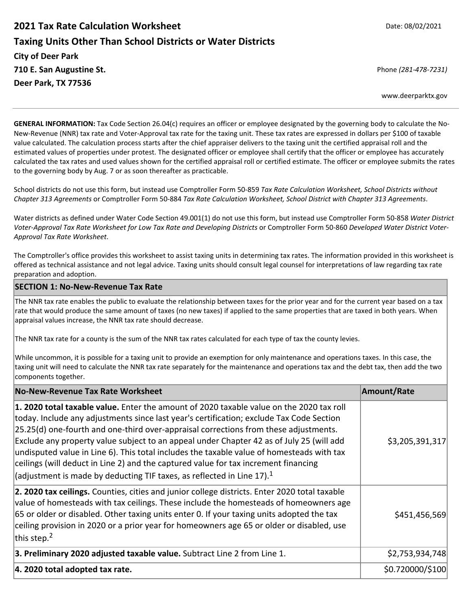# **2021 Tax Rate Calculation Worksheet**  Date: 08/02/2021 **Taxing Units Other Than School Districts or Water Districts City of Deer Park 710 E. San Augustine St.**  Phone *(281‐478‐7231)* **Deer Park, TX 77536**

www.deerparktx.gov

**GENERAL INFORMATION:** Tax Code Section 26.04(c) requires an officer or employee designated by the governing body to calculate the No‐ New‐Revenue (NNR) tax rate and Voter‐Approval tax rate for the taxing unit. These tax rates are expressed in dollars per \$100 of taxable value calculated. The calculation process starts after the chief appraiser delivers to the taxing unit the certified appraisal roll and the estimated values of properties under protest. The designated officer or employee shall certify that the officer or employee has accurately calculated the tax rates and used values shown for the certified appraisal roll or certified estimate. The officer or employee submits the rates to the governing body by Aug. 7 or as soon thereafter as practicable.

School districts do not use this form, but instead use Comptroller Form 50‐859 *Tax Rate Calculation Worksheet, School Districts without Chapter 313 Agreements* or Comptroller Form 50‐884 *Tax Rate Calculation Worksheet, School District with Chapter 313 Agreements*.

Water districts as defined under Water Code Section 49.001(1) do not use this form, but instead use Comptroller Form 50‐858 *Water District Voter‐Approval Tax Rate Worksheet for Low Tax Rate and Developing Districts* or Comptroller Form 50‐860 *Developed Water District Voter‐ Approval Tax Rate Worksheet*.

The Comptroller's office provides this worksheet to assist taxing units in determining tax rates. The information provided in this worksheet is offered as technical assistance and not legal advice. Taxing units should consult legal counsel for interpretations of law regarding tax rate preparation and adoption.

#### **SECTION 1: No‐New‐Revenue Tax Rate**

The NNR tax rate enables the public to evaluate the relationship between taxes for the prior year and for the current year based on a tax rate that would produce the same amount of taxes (no new taxes) if applied to the same properties that are taxed in both years. When appraisal values increase, the NNR tax rate should decrease.

The NNR tax rate for a county is the sum of the NNR tax rates calculated for each type of tax the county levies.

While uncommon, it is possible for a taxing unit to provide an exemption for only maintenance and operations taxes. In this case, the taxing unit will need to calculate the NNR tax rate separately for the maintenance and operations tax and the debt tax, then add the two components together.

| No-New-Revenue Tax Rate Worksheet                                                                                                                                                                                                                                                                                                                                                                                                                                                                                                                                                                                                                       | <b>Amount/Rate</b> |
|---------------------------------------------------------------------------------------------------------------------------------------------------------------------------------------------------------------------------------------------------------------------------------------------------------------------------------------------------------------------------------------------------------------------------------------------------------------------------------------------------------------------------------------------------------------------------------------------------------------------------------------------------------|--------------------|
| 1. 2020 total taxable value. Enter the amount of 2020 taxable value on the 2020 tax roll<br>today. Include any adjustments since last year's certification; exclude Tax Code Section<br>[25.25(d) one-fourth and one-third over-appraisal corrections from these adjustments.<br>Exclude any property value subject to an appeal under Chapter 42 as of July 25 (will add<br>undisputed value in Line 6). This total includes the taxable value of homesteads with tax<br>ceilings (will deduct in Line 2) and the captured value for tax increment financing<br>$ $ (adjustment is made by deducting TIF taxes, as reflected in Line 17). <sup>1</sup> | \$3,205,391,317    |
| 2. 2020 tax ceilings. Counties, cities and junior college districts. Enter 2020 total taxable<br>value of homesteads with tax ceilings. These include the homesteads of homeowners age<br>65 or older or disabled. Other taxing units enter 0. If your taxing units adopted the tax<br>ceiling provision in 2020 or a prior year for homeowners age 65 or older or disabled, use<br>this step. $2$                                                                                                                                                                                                                                                      | \$451,456,569      |
| 3. Preliminary 2020 adjusted taxable value. Subtract Line 2 from Line 1.                                                                                                                                                                                                                                                                                                                                                                                                                                                                                                                                                                                | \$2,753,934,748    |
| 4. 2020 total adopted tax rate.                                                                                                                                                                                                                                                                                                                                                                                                                                                                                                                                                                                                                         | \$0.720000/\$100   |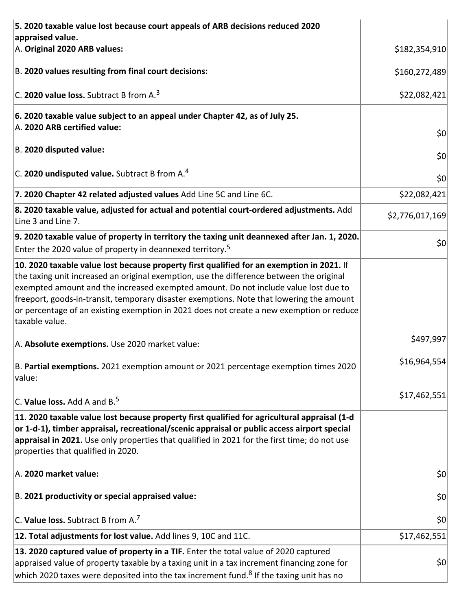| 5. 2020 taxable value lost because court appeals of ARB decisions reduced 2020                                                                                                                                                                                                                                                                                                                                                                                                         |                 |
|----------------------------------------------------------------------------------------------------------------------------------------------------------------------------------------------------------------------------------------------------------------------------------------------------------------------------------------------------------------------------------------------------------------------------------------------------------------------------------------|-----------------|
| appraised value.<br>A. Original 2020 ARB values:                                                                                                                                                                                                                                                                                                                                                                                                                                       | \$182,354,910   |
| B. 2020 values resulting from final court decisions:                                                                                                                                                                                                                                                                                                                                                                                                                                   | \$160,272,489   |
| C. 2020 value loss. Subtract B from $A3$                                                                                                                                                                                                                                                                                                                                                                                                                                               | \$22,082,421    |
| 6. 2020 taxable value subject to an appeal under Chapter 42, as of July 25.<br>A. 2020 ARB certified value:                                                                                                                                                                                                                                                                                                                                                                            | 50              |
| B. 2020 disputed value:                                                                                                                                                                                                                                                                                                                                                                                                                                                                | \$0             |
| C. 2020 undisputed value. Subtract B from A. <sup>4</sup>                                                                                                                                                                                                                                                                                                                                                                                                                              | 50              |
| 7. 2020 Chapter 42 related adjusted values Add Line 5C and Line 6C.                                                                                                                                                                                                                                                                                                                                                                                                                    | \$22,082,421    |
| 8. 2020 taxable value, adjusted for actual and potential court-ordered adjustments. Add<br>Line 3 and Line 7.                                                                                                                                                                                                                                                                                                                                                                          | \$2,776,017,169 |
| $\vert$ 9. 2020 taxable value of property in territory the taxing unit deannexed after Jan. 1, 2020.<br>Enter the 2020 value of property in deannexed territory. <sup>5</sup>                                                                                                                                                                                                                                                                                                          | 50              |
| 10. 2020 taxable value lost because property first qualified for an exemption in 2021. If<br>the taxing unit increased an original exemption, use the difference between the original<br>exempted amount and the increased exempted amount. Do not include value lost due to<br>freeport, goods-in-transit, temporary disaster exemptions. Note that lowering the amount<br>or percentage of an existing exemption in 2021 does not create a new exemption or reduce<br>taxable value. |                 |
| A. Absolute exemptions. Use 2020 market value:                                                                                                                                                                                                                                                                                                                                                                                                                                         | \$497,997       |
| B. Partial exemptions. 2021 exemption amount or 2021 percentage exemption times 2020<br>value:                                                                                                                                                                                                                                                                                                                                                                                         | \$16,964,554    |
| $ C$ . Value loss. Add A and B. <sup>5</sup>                                                                                                                                                                                                                                                                                                                                                                                                                                           | \$17,462,551    |
| 11. 2020 taxable value lost because property first qualified for agricultural appraisal (1-d<br>or 1-d-1), timber appraisal, recreational/scenic appraisal or public access airport special<br>appraisal in 2021. Use only properties that qualified in 2021 for the first time; do not use<br>properties that qualified in 2020.                                                                                                                                                      |                 |
| A. 2020 market value:                                                                                                                                                                                                                                                                                                                                                                                                                                                                  | 50              |
| B. 2021 productivity or special appraised value:                                                                                                                                                                                                                                                                                                                                                                                                                                       | \$0             |
| C. Value loss. Subtract B from A. <sup>7</sup>                                                                                                                                                                                                                                                                                                                                                                                                                                         | \$0             |
| 12. Total adjustments for lost value. Add lines 9, 10C and 11C.                                                                                                                                                                                                                                                                                                                                                                                                                        | \$17,462,551    |
| 13. 2020 captured value of property in a TIF. Enter the total value of 2020 captured<br>appraised value of property taxable by a taxing unit in a tax increment financing zone for<br>which 2020 taxes were deposited into the tax increment fund. <sup>8</sup> If the taxing unit has no                                                                                                                                                                                              | 50              |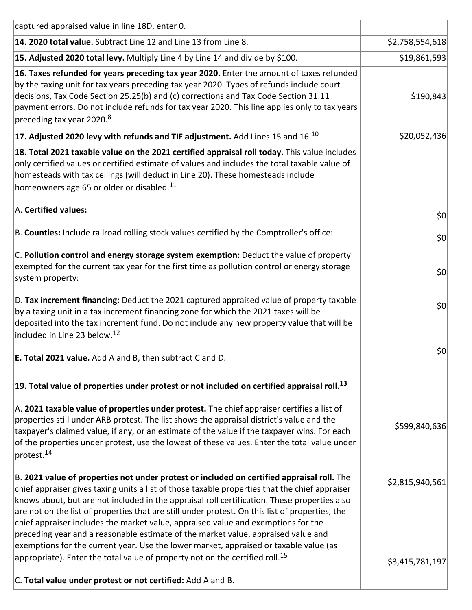| captured appraised value in line 18D, enter 0.                                                                                                                                                                                                                                                                                                                                                                                                                                                                                                                                                                                                                     |                 |
|--------------------------------------------------------------------------------------------------------------------------------------------------------------------------------------------------------------------------------------------------------------------------------------------------------------------------------------------------------------------------------------------------------------------------------------------------------------------------------------------------------------------------------------------------------------------------------------------------------------------------------------------------------------------|-----------------|
| 14. 2020 total value. Subtract Line 12 and Line 13 from Line 8.                                                                                                                                                                                                                                                                                                                                                                                                                                                                                                                                                                                                    | \$2,758,554,618 |
| 15. Adjusted 2020 total levy. Multiply Line 4 by Line 14 and divide by \$100.                                                                                                                                                                                                                                                                                                                                                                                                                                                                                                                                                                                      | \$19,861,593    |
| 16. Taxes refunded for years preceding tax year 2020. Enter the amount of taxes refunded<br>by the taxing unit for tax years preceding tax year 2020. Types of refunds include court<br>decisions, Tax Code Section 25.25(b) and (c) corrections and Tax Code Section 31.11<br>payment errors. Do not include refunds for tax year 2020. This line applies only to tax years<br>preceding tax year 2020. <sup>8</sup>                                                                                                                                                                                                                                              | \$190,843       |
| 17. Adjusted 2020 levy with refunds and TIF adjustment. Add Lines 15 and $16^{10}$                                                                                                                                                                                                                                                                                                                                                                                                                                                                                                                                                                                 | \$20,052,436    |
| 18. Total 2021 taxable value on the 2021 certified appraisal roll today. This value includes<br>only certified values or certified estimate of values and includes the total taxable value of<br>homesteads with tax ceilings (will deduct in Line 20). These homesteads include<br>homeowners age 65 or older or disabled. <sup>11</sup>                                                                                                                                                                                                                                                                                                                          |                 |
| A. Certified values:                                                                                                                                                                                                                                                                                                                                                                                                                                                                                                                                                                                                                                               | 50              |
| B. Counties: Include railroad rolling stock values certified by the Comptroller's office:                                                                                                                                                                                                                                                                                                                                                                                                                                                                                                                                                                          | 50              |
| C. Pollution control and energy storage system exemption: Deduct the value of property<br>exempted for the current tax year for the first time as pollution control or energy storage<br>system property:                                                                                                                                                                                                                                                                                                                                                                                                                                                          | 50              |
| D. Tax increment financing: Deduct the 2021 captured appraised value of property taxable<br>by a taxing unit in a tax increment financing zone for which the 2021 taxes will be<br>deposited into the tax increment fund. Do not include any new property value that will be<br>included in Line 23 below. <sup>12</sup>                                                                                                                                                                                                                                                                                                                                           | 50              |
| <b>E. Total 2021 value.</b> Add A and B, then subtract C and D.                                                                                                                                                                                                                                                                                                                                                                                                                                                                                                                                                                                                    | 50              |
| 19. Total value of properties under protest or not included on certified appraisal roll. <sup>13</sup>                                                                                                                                                                                                                                                                                                                                                                                                                                                                                                                                                             |                 |
| A. 2021 taxable value of properties under protest. The chief appraiser certifies a list of<br>properties still under ARB protest. The list shows the appraisal district's value and the<br>taxpayer's claimed value, if any, or an estimate of the value if the taxpayer wins. For each<br>of the properties under protest, use the lowest of these values. Enter the total value under<br>protest. <sup>14</sup>                                                                                                                                                                                                                                                  | \$599,840,636   |
| B. 2021 value of properties not under protest or included on certified appraisal roll. The<br>chief appraiser gives taxing units a list of those taxable properties that the chief appraiser<br>knows about, but are not included in the appraisal roll certification. These properties also<br>are not on the list of properties that are still under protest. On this list of properties, the<br>chief appraiser includes the market value, appraised value and exemptions for the<br>preceding year and a reasonable estimate of the market value, appraised value and<br>exemptions for the current year. Use the lower market, appraised or taxable value (as | \$2,815,940,561 |
| appropriate). Enter the total value of property not on the certified roll. <sup>15</sup><br>C. Total value under protest or not certified: Add A and B.                                                                                                                                                                                                                                                                                                                                                                                                                                                                                                            | \$3,415,781,197 |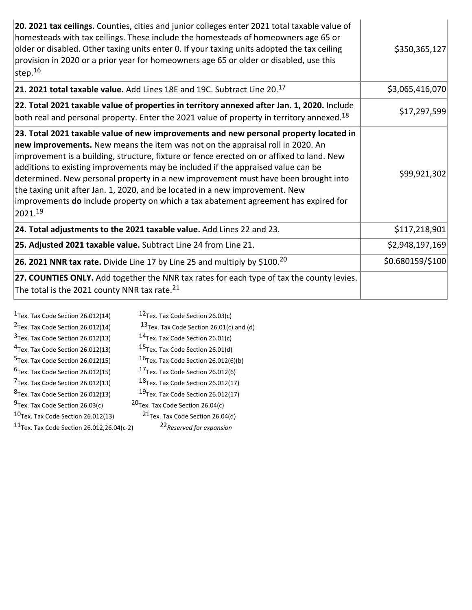| 20. 2021 tax ceilings. Counties, cities and junior colleges enter 2021 total taxable value of<br>homesteads with tax ceilings. These include the homesteads of homeowners age 65 or<br>older or disabled. Other taxing units enter 0. If your taxing units adopted the tax ceiling<br>provision in 2020 or a prior year for homeowners age 65 or older or disabled, use this<br>step. $^{16}$                                                                                                                                                                                                                                           | \$350,365,127    |
|-----------------------------------------------------------------------------------------------------------------------------------------------------------------------------------------------------------------------------------------------------------------------------------------------------------------------------------------------------------------------------------------------------------------------------------------------------------------------------------------------------------------------------------------------------------------------------------------------------------------------------------------|------------------|
| 21. 2021 total taxable value. Add Lines 18E and 19C. Subtract Line $20^{17}$                                                                                                                                                                                                                                                                                                                                                                                                                                                                                                                                                            | \$3,065,416,070  |
| 22. Total 2021 taxable value of properties in territory annexed after Jan. 1, 2020. Include<br>both real and personal property. Enter the 2021 value of property in territory annexed. <sup>18</sup>                                                                                                                                                                                                                                                                                                                                                                                                                                    | \$17,297,599     |
| 23. Total 2021 taxable value of new improvements and new personal property located in<br>new improvements. New means the item was not on the appraisal roll in 2020. An<br>improvement is a building, structure, fixture or fence erected on or affixed to land. New<br>additions to existing improvements may be included if the appraised value can be<br>determined. New personal property in a new improvement must have been brought into<br>the taxing unit after Jan. 1, 2020, and be located in a new improvement. New<br>improvements <b>do</b> include property on which a tax abatement agreement has expired for<br>2021.19 | \$99,921,302     |
| 24. Total adjustments to the 2021 taxable value. Add Lines 22 and 23.                                                                                                                                                                                                                                                                                                                                                                                                                                                                                                                                                                   | \$117,218,901    |
| 25. Adjusted 2021 taxable value. Subtract Line 24 from Line 21.                                                                                                                                                                                                                                                                                                                                                                                                                                                                                                                                                                         | \$2,948,197,169  |
| <b>26. 2021 NNR tax rate.</b> Divide Line 17 by Line 25 and multiply by \$100. <sup>20</sup>                                                                                                                                                                                                                                                                                                                                                                                                                                                                                                                                            | \$0.680159/\$100 |
| 27. COUNTIES ONLY. Add together the NNR tax rates for each type of tax the county levies.<br>The total is the 2021 county NNR tax rate. $^{21}$                                                                                                                                                                                                                                                                                                                                                                                                                                                                                         |                  |

| 12 <sub>Tex</sub> . Tax Code Section 26.03(c)                                        |
|--------------------------------------------------------------------------------------|
| $13$ Tex. Tax Code Section 26.01(c) and (d)                                          |
| $14$ Tex. Tax Code Section 26.01(c)                                                  |
| <sup>15</sup> Tex. Tax Code Section 26.01(d)                                         |
| 16 <sub>Tex.</sub> Tax Code Section 26.012(6)(b)                                     |
| <sup>17</sup> Tex. Tax Code Section 26.012(6)                                        |
| 18 <sub>Tex.</sub> Tax Code Section 26.012(17)                                       |
| <sup>19</sup> Tex. Tax Code Section 26.012(17)                                       |
| <sup>20</sup> Tex. Tax Code Section 26.04(c)                                         |
| <sup>21</sup> Tex. Tax Code Section 26.04(d)                                         |
| $11$ Tex. Tax Code Section 26.012,26.04(c-2)<br><sup>22</sup> Reserved for expansion |
|                                                                                      |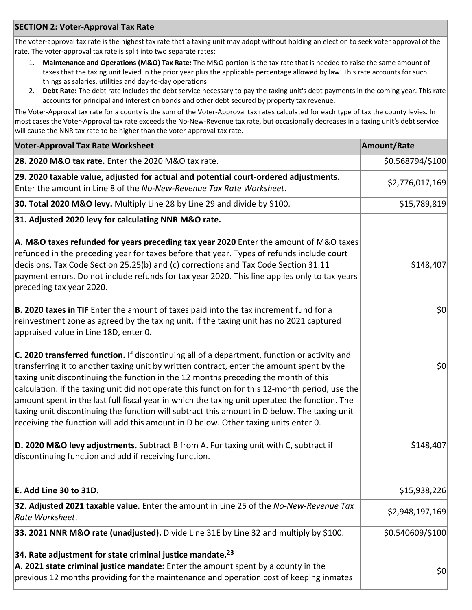## **SECTION 2: Voter‐Approval Tax Rate**

The voter-approval tax rate is the highest tax rate that a taxing unit may adopt without holding an election to seek voter approval of the rate. The voter‐approval tax rate is split into two separate rates:

- 1. **Maintenance and Operations (M&O) Tax Rate:** The M&O portion is the tax rate that is needed to raise the same amount of taxes that the taxing unit levied in the prior year plus the applicable percentage allowed by law. This rate accounts for such things as salaries, utilities and day‐to‐day operations
- 2. **Debt Rate:** The debt rate includes the debt service necessary to pay the taxing unit's debt payments in the coming year. This rate accounts for principal and interest on bonds and other debt secured by property tax revenue.

The Voter‐Approval tax rate for a county is the sum of the Voter‐Approval tax rates calculated for each type of tax the county levies. In most cases the Voter‐Approval tax rate exceeds the No‐New‐Revenue tax rate, but occasionally decreases in a taxing unit's debt service will cause the NNR tax rate to be higher than the voter-approval tax rate.

| <b>Voter-Approval Tax Rate Worksheet</b>                                                                                                                                                                                                                                                                                                                                                                                                                                                                                                                                                                                                                                    | <b>Amount/Rate</b> |
|-----------------------------------------------------------------------------------------------------------------------------------------------------------------------------------------------------------------------------------------------------------------------------------------------------------------------------------------------------------------------------------------------------------------------------------------------------------------------------------------------------------------------------------------------------------------------------------------------------------------------------------------------------------------------------|--------------------|
| 28. 2020 M&O tax rate. Enter the 2020 M&O tax rate.                                                                                                                                                                                                                                                                                                                                                                                                                                                                                                                                                                                                                         | \$0.568794/\$100   |
| 29. 2020 taxable value, adjusted for actual and potential court-ordered adjustments.<br>Enter the amount in Line 8 of the No-New-Revenue Tax Rate Worksheet.                                                                                                                                                                                                                                                                                                                                                                                                                                                                                                                | \$2,776,017,169    |
| 30. Total 2020 M&O levy. Multiply Line 28 by Line 29 and divide by \$100.                                                                                                                                                                                                                                                                                                                                                                                                                                                                                                                                                                                                   | \$15,789,819       |
| 31. Adjusted 2020 levy for calculating NNR M&O rate.                                                                                                                                                                                                                                                                                                                                                                                                                                                                                                                                                                                                                        |                    |
| A. M&O taxes refunded for years preceding tax year 2020 Enter the amount of M&O taxes<br>refunded in the preceding year for taxes before that year. Types of refunds include court<br>decisions, Tax Code Section 25.25(b) and (c) corrections and Tax Code Section 31.11<br>payment errors. Do not include refunds for tax year 2020. This line applies only to tax years<br>preceding tax year 2020.                                                                                                                                                                                                                                                                      | \$148,407          |
| B. 2020 taxes in TIF Enter the amount of taxes paid into the tax increment fund for a<br>reinvestment zone as agreed by the taxing unit. If the taxing unit has no 2021 captured<br>appraised value in Line 18D, enter 0.                                                                                                                                                                                                                                                                                                                                                                                                                                                   | \$0                |
| C. 2020 transferred function. If discontinuing all of a department, function or activity and<br>transferring it to another taxing unit by written contract, enter the amount spent by the<br>taxing unit discontinuing the function in the 12 months preceding the month of this<br>calculation. If the taxing unit did not operate this function for this 12-month period, use the<br>amount spent in the last full fiscal year in which the taxing unit operated the function. The<br>taxing unit discontinuing the function will subtract this amount in D below. The taxing unit<br>receiving the function will add this amount in D below. Other taxing units enter 0. | \$0                |
| D. 2020 M&O levy adjustments. Subtract B from A. For taxing unit with C, subtract if<br>discontinuing function and add if receiving function.                                                                                                                                                                                                                                                                                                                                                                                                                                                                                                                               | \$148,407          |
| E. Add Line 30 to 31D.                                                                                                                                                                                                                                                                                                                                                                                                                                                                                                                                                                                                                                                      | \$15,938,226       |
| 32. Adjusted 2021 taxable value. Enter the amount in Line 25 of the No-New-Revenue Tax<br>Rate Worksheet.                                                                                                                                                                                                                                                                                                                                                                                                                                                                                                                                                                   | \$2,948,197,169    |
| 33. 2021 NNR M&O rate (unadjusted). Divide Line 31E by Line 32 and multiply by \$100.                                                                                                                                                                                                                                                                                                                                                                                                                                                                                                                                                                                       | \$0.540609/\$100   |
| 34. Rate adjustment for state criminal justice mandate. <sup>23</sup><br>A. 2021 state criminal justice mandate: Enter the amount spent by a county in the<br>previous 12 months providing for the maintenance and operation cost of keeping inmates                                                                                                                                                                                                                                                                                                                                                                                                                        | \$0                |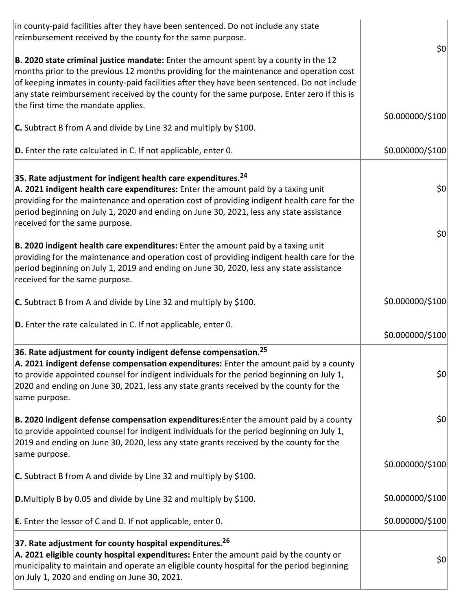| in county-paid facilities after they have been sentenced. Do not include any state<br>reimbursement received by the county for the same purpose.                                                                                                                                                                                                                                                                    | 50               |
|---------------------------------------------------------------------------------------------------------------------------------------------------------------------------------------------------------------------------------------------------------------------------------------------------------------------------------------------------------------------------------------------------------------------|------------------|
| B. 2020 state criminal justice mandate: Enter the amount spent by a county in the 12<br>months prior to the previous 12 months providing for the maintenance and operation cost<br>of keeping inmates in county-paid facilities after they have been sentenced. Do not include<br>any state reimbursement received by the county for the same purpose. Enter zero if this is<br>the first time the mandate applies. |                  |
| <b>C.</b> Subtract B from A and divide by Line 32 and multiply by \$100.                                                                                                                                                                                                                                                                                                                                            | \$0.000000/\$100 |
| $ D$ . Enter the rate calculated in C. If not applicable, enter 0.                                                                                                                                                                                                                                                                                                                                                  | \$0.000000/\$100 |
| 35. Rate adjustment for indigent health care expenditures. <sup>24</sup><br>A. 2021 indigent health care expenditures: Enter the amount paid by a taxing unit<br>providing for the maintenance and operation cost of providing indigent health care for the<br>period beginning on July 1, 2020 and ending on June 30, 2021, less any state assistance<br>received for the same purpose.                            | 50               |
| B. 2020 indigent health care expenditures: Enter the amount paid by a taxing unit<br>providing for the maintenance and operation cost of providing indigent health care for the<br>period beginning on July 1, 2019 and ending on June 30, 2020, less any state assistance<br>received for the same purpose.                                                                                                        | 50               |
| <b>C.</b> Subtract B from A and divide by Line 32 and multiply by \$100.                                                                                                                                                                                                                                                                                                                                            | \$0.000000/\$100 |
| $ D$ . Enter the rate calculated in C. If not applicable, enter 0.                                                                                                                                                                                                                                                                                                                                                  | \$0.000000/\$100 |
| 36. Rate adjustment for county indigent defense compensation. <sup>25</sup><br>A. 2021 indigent defense compensation expenditures: Enter the amount paid by a county<br>to provide appointed counsel for indigent individuals for the period beginning on July 1,<br>2020 and ending on June 30, 2021, less any state grants received by the county for the<br>same purpose.                                        | 50               |
| B. 2020 indigent defense compensation expenditures: Enter the amount paid by a county<br>to provide appointed counsel for indigent individuals for the period beginning on July 1,<br>2019 and ending on June 30, 2020, less any state grants received by the county for the<br>same purpose.                                                                                                                       | \$0              |
| C. Subtract B from A and divide by Line 32 and multiply by \$100.                                                                                                                                                                                                                                                                                                                                                   | \$0.000000/\$100 |
| <b>D.</b> Multiply B by 0.05 and divide by Line 32 and multiply by \$100.                                                                                                                                                                                                                                                                                                                                           | \$0.000000/\$100 |
| <b>E.</b> Enter the lessor of C and D. If not applicable, enter 0.                                                                                                                                                                                                                                                                                                                                                  | \$0.000000/\$100 |
| 37. Rate adjustment for county hospital expenditures. <sup>26</sup><br>A. 2021 eligible county hospital expenditures: Enter the amount paid by the county or<br>municipality to maintain and operate an eligible county hospital for the period beginning<br>on July 1, 2020 and ending on June 30, 2021.                                                                                                           | \$0              |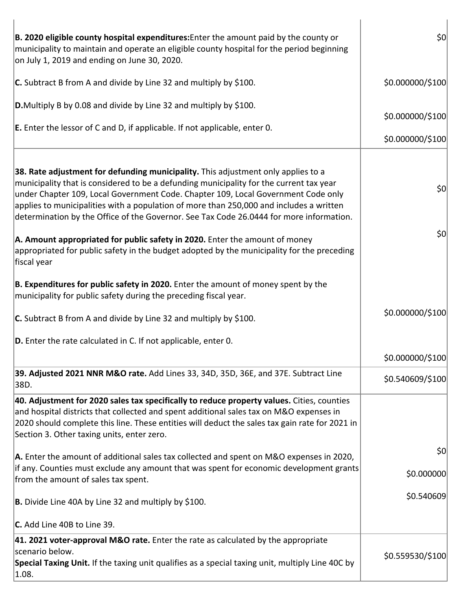| B. 2020 eligible county hospital expenditures: Enter the amount paid by the county or<br>municipality to maintain and operate an eligible county hospital for the period beginning<br>on July 1, 2019 and ending on June 30, 2020.                                                                                                                                                                                                                      | 50               |
|---------------------------------------------------------------------------------------------------------------------------------------------------------------------------------------------------------------------------------------------------------------------------------------------------------------------------------------------------------------------------------------------------------------------------------------------------------|------------------|
| C. Subtract B from A and divide by Line 32 and multiply by \$100.                                                                                                                                                                                                                                                                                                                                                                                       | \$0.000000/\$100 |
| <b>D.</b> Multiply B by 0.08 and divide by Line 32 and multiply by \$100.                                                                                                                                                                                                                                                                                                                                                                               |                  |
| <b>E.</b> Enter the lessor of C and D, if applicable. If not applicable, enter 0.                                                                                                                                                                                                                                                                                                                                                                       | \$0.000000/\$100 |
|                                                                                                                                                                                                                                                                                                                                                                                                                                                         | \$0.000000/\$100 |
| 38. Rate adjustment for defunding municipality. This adjustment only applies to a<br>municipality that is considered to be a defunding municipality for the current tax year<br>under Chapter 109, Local Government Code. Chapter 109, Local Government Code only<br>applies to municipalities with a population of more than 250,000 and includes a written<br>determination by the Office of the Governor. See Tax Code 26.0444 for more information. | 50               |
| A. Amount appropriated for public safety in 2020. Enter the amount of money<br>appropriated for public safety in the budget adopted by the municipality for the preceding<br>fiscal year                                                                                                                                                                                                                                                                | 50               |
| B. Expenditures for public safety in 2020. Enter the amount of money spent by the<br>municipality for public safety during the preceding fiscal year.                                                                                                                                                                                                                                                                                                   |                  |
| <b>C.</b> Subtract B from A and divide by Line 32 and multiply by \$100.                                                                                                                                                                                                                                                                                                                                                                                | \$0.000000/\$100 |
| $ D$ . Enter the rate calculated in C. If not applicable, enter 0.                                                                                                                                                                                                                                                                                                                                                                                      |                  |
|                                                                                                                                                                                                                                                                                                                                                                                                                                                         | \$0.000000/\$100 |
| 39. Adjusted 2021 NNR M&O rate. Add Lines 33, 34D, 35D, 36E, and 37E. Subtract Line<br>38D.                                                                                                                                                                                                                                                                                                                                                             | \$0.540609/\$100 |
| 40. Adjustment for 2020 sales tax specifically to reduce property values. Cities, counties<br>and hospital districts that collected and spent additional sales tax on M&O expenses in<br>2020 should complete this line. These entities will deduct the sales tax gain rate for 2021 in<br>Section 3. Other taxing units, enter zero.                                                                                                                   |                  |
| <b>A.</b> Enter the amount of additional sales tax collected and spent on M&O expenses in 2020,                                                                                                                                                                                                                                                                                                                                                         | 50               |
| if any. Counties must exclude any amount that was spent for economic development grants<br>from the amount of sales tax spent.                                                                                                                                                                                                                                                                                                                          | \$0.000000       |
| <b>B.</b> Divide Line 40A by Line 32 and multiply by \$100.                                                                                                                                                                                                                                                                                                                                                                                             | \$0.540609       |
| C. Add Line 40B to Line 39.                                                                                                                                                                                                                                                                                                                                                                                                                             |                  |
| 41. 2021 voter-approval M&O rate. Enter the rate as calculated by the appropriate<br>scenario below.                                                                                                                                                                                                                                                                                                                                                    |                  |
| Special Taxing Unit. If the taxing unit qualifies as a special taxing unit, multiply Line 40C by<br> 1.08.                                                                                                                                                                                                                                                                                                                                              | \$0.559530/\$100 |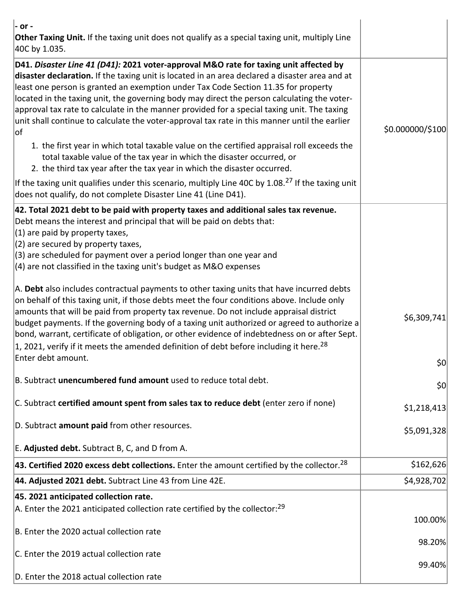| - or -<br>Other Taxing Unit. If the taxing unit does not qualify as a special taxing unit, multiply Line<br>40C by 1.035.                                                                                                                                                                                                                                                                                                                                                                                                                                                                                                                                                                                                                                                                                                                                                                                                                                |                  |
|----------------------------------------------------------------------------------------------------------------------------------------------------------------------------------------------------------------------------------------------------------------------------------------------------------------------------------------------------------------------------------------------------------------------------------------------------------------------------------------------------------------------------------------------------------------------------------------------------------------------------------------------------------------------------------------------------------------------------------------------------------------------------------------------------------------------------------------------------------------------------------------------------------------------------------------------------------|------------------|
| D41. Disaster Line 41 (D41): 2021 voter-approval M&O rate for taxing unit affected by<br>disaster declaration. If the taxing unit is located in an area declared a disaster area and at<br>least one person is granted an exemption under Tax Code Section 11.35 for property<br>located in the taxing unit, the governing body may direct the person calculating the voter-<br>approval tax rate to calculate in the manner provided for a special taxing unit. The taxing<br>unit shall continue to calculate the voter-approval tax rate in this manner until the earlier<br>of.<br>1. the first year in which total taxable value on the certified appraisal roll exceeds the<br>total taxable value of the tax year in which the disaster occurred, or<br>2. the third tax year after the tax year in which the disaster occurred.<br>If the taxing unit qualifies under this scenario, multiply Line 40C by 1.08. <sup>27</sup> If the taxing unit | \$0.000000/\$100 |
| does not qualify, do not complete Disaster Line 41 (Line D41).<br>42. Total 2021 debt to be paid with property taxes and additional sales tax revenue.<br>Debt means the interest and principal that will be paid on debts that:<br>(1) are paid by property taxes,<br>(2) are secured by property taxes,<br>(3) are scheduled for payment over a period longer than one year and                                                                                                                                                                                                                                                                                                                                                                                                                                                                                                                                                                        |                  |
| $(4)$ are not classified in the taxing unit's budget as M&O expenses<br>A. Debt also includes contractual payments to other taxing units that have incurred debts<br>on behalf of this taxing unit, if those debts meet the four conditions above. Include only<br>amounts that will be paid from property tax revenue. Do not include appraisal district<br>budget payments. If the governing body of a taxing unit authorized or agreed to authorize a<br>bond, warrant, certificate of obligation, or other evidence of indebtedness on or after Sept.<br>1, 2021, verify if it meets the amended definition of debt before including it here. <sup>28</sup><br>Enter debt amount.                                                                                                                                                                                                                                                                    | \$6,309,741      |
| B. Subtract unencumbered fund amount used to reduce total debt.                                                                                                                                                                                                                                                                                                                                                                                                                                                                                                                                                                                                                                                                                                                                                                                                                                                                                          | \$0<br>\$0       |
| C. Subtract certified amount spent from sales tax to reduce debt (enter zero if none)                                                                                                                                                                                                                                                                                                                                                                                                                                                                                                                                                                                                                                                                                                                                                                                                                                                                    | \$1,218,413      |
| D. Subtract amount paid from other resources.                                                                                                                                                                                                                                                                                                                                                                                                                                                                                                                                                                                                                                                                                                                                                                                                                                                                                                            | \$5,091,328      |
| E. Adjusted debt. Subtract B, C, and D from A.                                                                                                                                                                                                                                                                                                                                                                                                                                                                                                                                                                                                                                                                                                                                                                                                                                                                                                           |                  |
| 43. Certified 2020 excess debt collections. Enter the amount certified by the collector. <sup>28</sup>                                                                                                                                                                                                                                                                                                                                                                                                                                                                                                                                                                                                                                                                                                                                                                                                                                                   | \$162,626        |
| 44. Adjusted 2021 debt. Subtract Line 43 from Line 42E.                                                                                                                                                                                                                                                                                                                                                                                                                                                                                                                                                                                                                                                                                                                                                                                                                                                                                                  | \$4,928,702      |
| 45. 2021 anticipated collection rate.<br>A. Enter the 2021 anticipated collection rate certified by the collector: <sup>29</sup><br>B. Enter the 2020 actual collection rate                                                                                                                                                                                                                                                                                                                                                                                                                                                                                                                                                                                                                                                                                                                                                                             | 100.00%          |
| C. Enter the 2019 actual collection rate                                                                                                                                                                                                                                                                                                                                                                                                                                                                                                                                                                                                                                                                                                                                                                                                                                                                                                                 | 98.20%           |
| D. Enter the 2018 actual collection rate                                                                                                                                                                                                                                                                                                                                                                                                                                                                                                                                                                                                                                                                                                                                                                                                                                                                                                                 | 99.40%           |